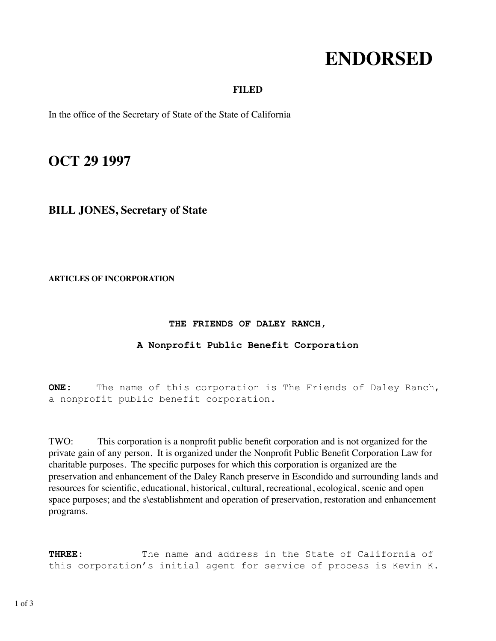# **ENDORSED**

## **FILED**

In the office of the Secretary of State of the State of California

## **OCT 29 1997**

## **BILL JONES, Secretary of State**

**ARTICLES OF INCORPORATION**

#### **THE FRIENDS OF DALEY RANCH,**

### **A Nonprofit Public Benefit Corporation**

**ONE:** The name of this corporation is The Friends of Daley Ranch, a nonprofit public benefit corporation.

TWO: This corporation is a nonprofit public benefit corporation and is not organized for the private gain of any person. It is organized under the Nonprofit Public Benefit Corporation Law for charitable purposes. The specific purposes for which this corporation is organized are the preservation and enhancement of the Daley Ranch preserve in Escondido and surrounding lands and resources for scientific, educational, historical, cultural, recreational, ecological, scenic and open space purposes; and the s\establishment and operation of preservation, restoration and enhancement programs.

**THREE:** The name and address in the State of California of this corporation's initial agent for service of process is Kevin K.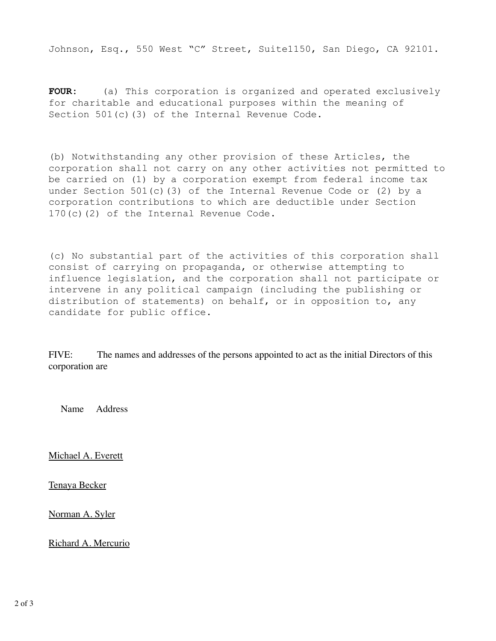Johnson, Esq., 550 West "C" Street, Suite1150, San Diego, CA 92101.

**FOUR:** (a) This corporation is organized and operated exclusively for charitable and educational purposes within the meaning of Section 501(c)(3) of the Internal Revenue Code.

(b) Notwithstanding any other provision of these Articles, the corporation shall not carry on any other activities not permitted to be carried on (1) by a corporation exempt from federal income tax under Section 501(c)(3) of the Internal Revenue Code or (2) by a corporation contributions to which are deductible under Section 170(c)(2) of the Internal Revenue Code.

(c) No substantial part of the activities of this corporation shall consist of carrying on propaganda, or otherwise attempting to influence legislation, and the corporation shall not participate or intervene in any political campaign (including the publishing or distribution of statements) on behalf, or in opposition to, any candidate for public office.

FIVE: The names and addresses of the persons appointed to act as the initial Directors of this corporation are

Name Address

Michael A. Everett

Tenaya Becker

Norman A. Syler

Richard A. Mercurio